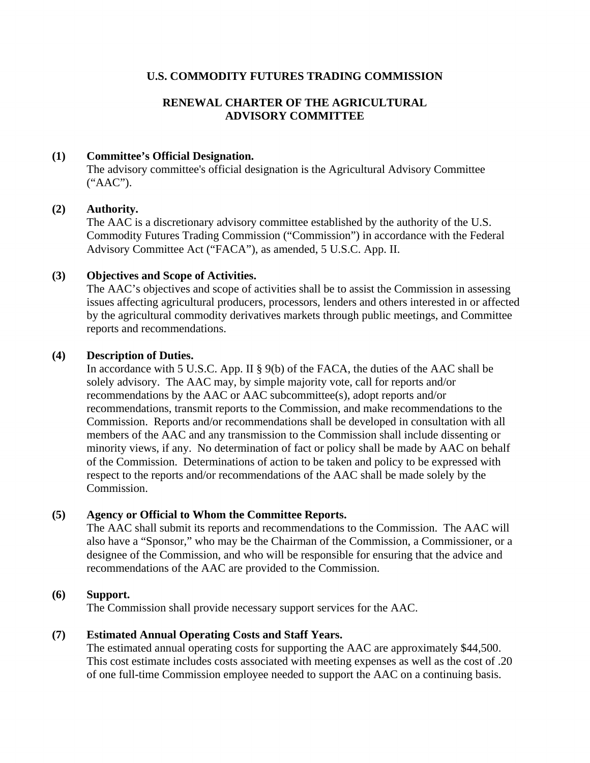# **U.S. COMMODITY FUTURES TRADING COMMISSION**

# **RENEWAL CHARTER OF THE AGRICULTURAL ADVISORY COMMITTEE**

### **(1) Committee's Official Designation.**

The advisory committee's official designation is the Agricultural Advisory Committee ("AAC").

### **(2) Authority.**

The AAC is a discretionary advisory committee established by the authority of the U.S. Commodity Futures Trading Commission ("Commission") in accordance with the Federal Advisory Committee Act ("FACA"), as amended, 5 U.S.C. App. II.

#### **(3) Objectives and Scope of Activities.**

The AAC's objectives and scope of activities shall be to assist the Commission in assessing issues affecting agricultural producers, processors, lenders and others interested in or affected by the agricultural commodity derivatives markets through public meetings, and Committee reports and recommendations.

#### **(4) Description of Duties.**

In accordance with 5 U.S.C. App. II § 9(b) of the FACA, the duties of the AAC shall be solely advisory. The AAC may, by simple majority vote, call for reports and/or recommendations by the AAC or AAC subcommittee(s), adopt reports and/or recommendations, transmit reports to the Commission, and make recommendations to the Commission. Reports and/or recommendations shall be developed in consultation with all members of the AAC and any transmission to the Commission shall include dissenting or minority views, if any. No determination of fact or policy shall be made by AAC on behalf of the Commission. Determinations of action to be taken and policy to be expressed with respect to the reports and/or recommendations of the AAC shall be made solely by the Commission.

#### **(5) Agency or Official to Whom the Committee Reports.**

The AAC shall submit its reports and recommendations to the Commission. The AAC will also have a "Sponsor," who may be the Chairman of the Commission, a Commissioner, or a designee of the Commission, and who will be responsible for ensuring that the advice and recommendations of the AAC are provided to the Commission.

#### **(6) Support.**

The Commission shall provide necessary support services for the AAC.

#### **(7) Estimated Annual Operating Costs and Staff Years.**

The estimated annual operating costs for supporting the AAC are approximately \$44,500. This cost estimate includes costs associated with meeting expenses as well as the cost of .20 of one full-time Commission employee needed to support the AAC on a continuing basis.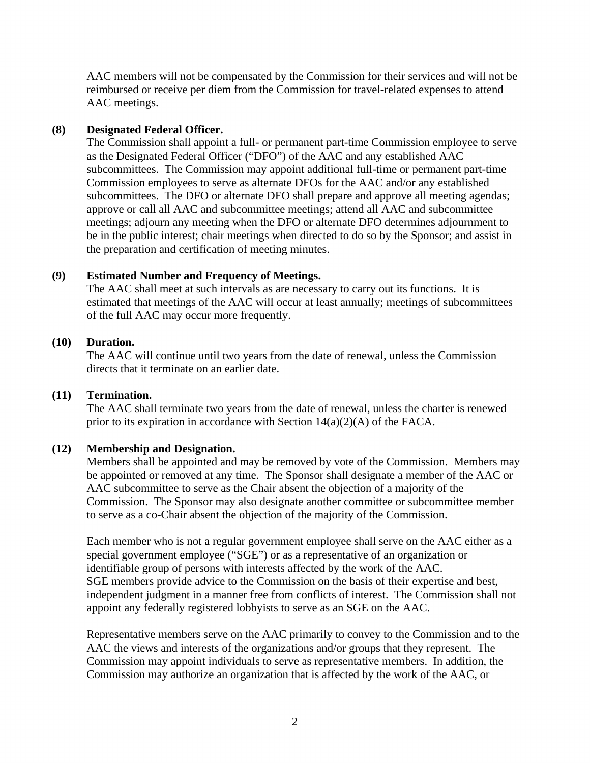AAC members will not be compensated by the Commission for their services and will not be reimbursed or receive per diem from the Commission for travel-related expenses to attend AAC meetings.

#### **(8) Designated Federal Officer.**

The Commission shall appoint a full- or permanent part-time Commission employee to serve as the Designated Federal Officer ("DFO") of the AAC and any established AAC subcommittees. The Commission may appoint additional full-time or permanent part-time Commission employees to serve as alternate DFOs for the AAC and/or any established subcommittees. The DFO or alternate DFO shall prepare and approve all meeting agendas; approve or call all AAC and subcommittee meetings; attend all AAC and subcommittee meetings; adjourn any meeting when the DFO or alternate DFO determines adjournment to be in the public interest; chair meetings when directed to do so by the Sponsor; and assist in the preparation and certification of meeting minutes.

### **(9) Estimated Number and Frequency of Meetings.**

The AAC shall meet at such intervals as are necessary to carry out its functions. It is estimated that meetings of the AAC will occur at least annually; meetings of subcommittees of the full AAC may occur more frequently.

#### **(10) Duration.**

The AAC will continue until two years from the date of renewal, unless the Commission directs that it terminate on an earlier date.

#### **(11) Termination.**

The AAC shall terminate two years from the date of renewal, unless the charter is renewed prior to its expiration in accordance with Section  $14(a)(2)(A)$  of the FACA.

#### **(12) Membership and Designation.**

Members shall be appointed and may be removed by vote of the Commission. Members may be appointed or removed at any time. The Sponsor shall designate a member of the AAC or AAC subcommittee to serve as the Chair absent the objection of a majority of the Commission. The Sponsor may also designate another committee or subcommittee member to serve as a co-Chair absent the objection of the majority of the Commission.

Each member who is not a regular government employee shall serve on the AAC either as a special government employee ("SGE") or as a representative of an organization or identifiable group of persons with interests affected by the work of the AAC. SGE members provide advice to the Commission on the basis of their expertise and best, independent judgment in a manner free from conflicts of interest. The Commission shall not appoint any federally registered lobbyists to serve as an SGE on the AAC.

Representative members serve on the AAC primarily to convey to the Commission and to the AAC the views and interests of the organizations and/or groups that they represent. The Commission may appoint individuals to serve as representative members. In addition, the Commission may authorize an organization that is affected by the work of the AAC, or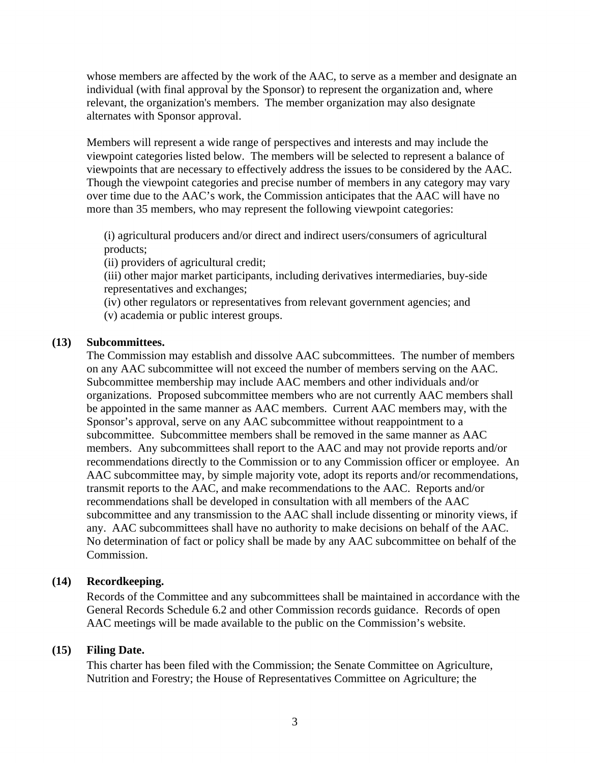whose members are affected by the work of the AAC, to serve as a member and designate an individual (with final approval by the Sponsor) to represent the organization and, where relevant, the organization's members. The member organization may also designate alternates with Sponsor approval.

Members will represent a wide range of perspectives and interests and may include the viewpoint categories listed below. The members will be selected to represent a balance of viewpoints that are necessary to effectively address the issues to be considered by the AAC. Though the viewpoint categories and precise number of members in any category may vary over time due to the AAC's work, the Commission anticipates that the AAC will have no more than 35 members, who may represent the following viewpoint categories:

(i) agricultural producers and/or direct and indirect users/consumers of agricultural products;

(ii) providers of agricultural credit;

(iii) other major market participants, including derivatives intermediaries, buy-side representatives and exchanges;

(iv) other regulators or representatives from relevant government agencies; and (v) academia or public interest groups.

### **(13) Subcommittees.**

The Commission may establish and dissolve AAC subcommittees. The number of members on any AAC subcommittee will not exceed the number of members serving on the AAC. Subcommittee membership may include AAC members and other individuals and/or organizations. Proposed subcommittee members who are not currently AAC members shall be appointed in the same manner as AAC members. Current AAC members may, with the Sponsor's approval, serve on any AAC subcommittee without reappointment to a subcommittee. Subcommittee members shall be removed in the same manner as AAC members. Any subcommittees shall report to the AAC and may not provide reports and/or recommendations directly to the Commission or to any Commission officer or employee. An AAC subcommittee may, by simple majority vote, adopt its reports and/or recommendations, transmit reports to the AAC, and make recommendations to the AAC. Reports and/or recommendations shall be developed in consultation with all members of the AAC subcommittee and any transmission to the AAC shall include dissenting or minority views, if any. AAC subcommittees shall have no authority to make decisions on behalf of the AAC. No determination of fact or policy shall be made by any AAC subcommittee on behalf of the Commission.

# **(14) Recordkeeping.**

Records of the Committee and any subcommittees shall be maintained in accordance with the General Records Schedule 6.2 and other Commission records guidance. Records of open AAC meetings will be made available to the public on the Commission's website.

# **(15) Filing Date.**

This charter has been filed with the Commission; the Senate Committee on Agriculture, Nutrition and Forestry; the House of Representatives Committee on Agriculture; the